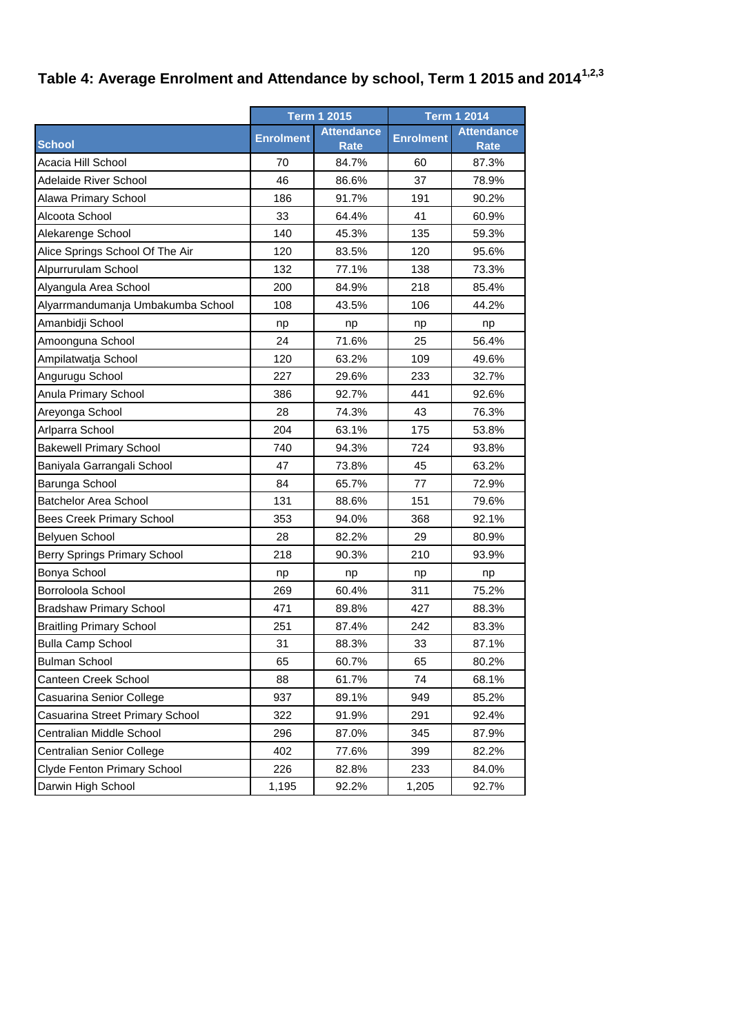## **Table 4: Average Enrolment and Attendance by school, Term 1 2015 and 20141,2,3**

|                                     | <b>Term 1 2015</b> |                      | <b>Term 1 2014</b> |                                  |
|-------------------------------------|--------------------|----------------------|--------------------|----------------------------------|
| <b>School</b>                       | <b>Enrolment</b>   | <b>Attendance</b>    | <b>Enrolment</b>   | <b>Attendance</b><br><b>Rate</b> |
| Acacia Hill School                  | 70                 | <b>Rate</b><br>84.7% | 60                 | 87.3%                            |
| <b>Adelaide River School</b>        | 46                 | 86.6%                | 37                 | 78.9%                            |
| Alawa Primary School                | 186                | 91.7%                | 191                | 90.2%                            |
| Alcoota School                      | 33                 | 64.4%                | 41                 | 60.9%                            |
| Alekarenge School                   | 140                | 45.3%                | 135                | 59.3%                            |
| Alice Springs School Of The Air     | 120                | 83.5%                | 120                | 95.6%                            |
| Alpurrurulam School                 | 132                | 77.1%                | 138                | 73.3%                            |
|                                     |                    |                      |                    |                                  |
| Alyangula Area School               | 200<br>108         | 84.9%<br>43.5%       | 218<br>106         | 85.4%<br>44.2%                   |
| Alyarrmandumanja Umbakumba School   |                    |                      |                    |                                  |
| Amanbidji School                    | np                 | np                   | np                 | np                               |
| Amoonguna School                    | 24                 | 71.6%                | 25                 | 56.4%                            |
| Ampilatwatja School                 | 120                | 63.2%                | 109                | 49.6%                            |
| Angurugu School                     | 227                | 29.6%                | 233                | 32.7%                            |
| Anula Primary School                | 386                | 92.7%                | 441                | 92.6%                            |
| Areyonga School                     | 28                 | 74.3%                | 43                 | 76.3%                            |
| Arlparra School                     | 204                | 63.1%                | 175                | 53.8%                            |
| <b>Bakewell Primary School</b>      | 740                | 94.3%                | 724                | 93.8%                            |
| Baniyala Garrangali School          | 47                 | 73.8%                | 45                 | 63.2%                            |
| Barunga School                      | 84                 | 65.7%                | 77                 | 72.9%                            |
| <b>Batchelor Area School</b>        | 131                | 88.6%                | 151                | 79.6%                            |
| <b>Bees Creek Primary School</b>    | 353                | 94.0%                | 368                | 92.1%                            |
| Belyuen School                      | 28                 | 82.2%                | 29                 | 80.9%                            |
| <b>Berry Springs Primary School</b> | 218                | 90.3%                | 210                | 93.9%                            |
| Bonya School                        | np                 | np                   | np                 | np                               |
| Borroloola School                   | 269                | 60.4%                | 311                | 75.2%                            |
| <b>Bradshaw Primary School</b>      | 471                | 89.8%                | 427                | 88.3%                            |
| <b>Braitling Primary School</b>     | 251                | 87.4%                | 242                | 83.3%                            |
| <b>Bulla Camp School</b>            | 31                 | 88.3%                | 33                 | 87.1%                            |
| <b>Bulman School</b>                | 65                 | 60.7%                | 65                 | 80.2%                            |
| Canteen Creek School                | 88                 | 61.7%                | 74                 | 68.1%                            |
| Casuarina Senior College            | 937                | 89.1%                | 949                | 85.2%                            |
| Casuarina Street Primary School     | 322                | 91.9%                | 291                | 92.4%                            |
| Centralian Middle School            | 296                | 87.0%                | 345                | 87.9%                            |
| Centralian Senior College           | 402                | 77.6%                | 399                | 82.2%                            |
| Clyde Fenton Primary School         | 226                | 82.8%                | 233                | 84.0%                            |
| Darwin High School                  | 1,195              | 92.2%                | 1,205              | 92.7%                            |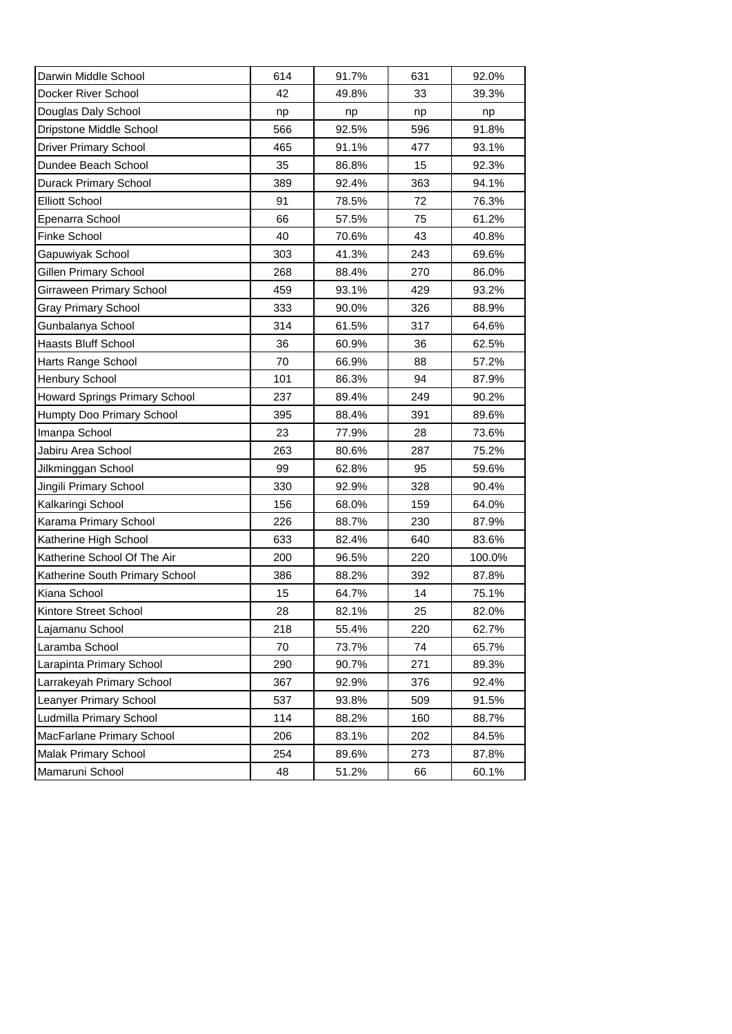| Darwin Middle School           | 614 | 91.7% | 631 | 92.0%  |
|--------------------------------|-----|-------|-----|--------|
| Docker River School            | 42  | 49.8% | 33  | 39.3%  |
| Douglas Daly School            | np  | np    | np  | np     |
| Dripstone Middle School        | 566 | 92.5% | 596 | 91.8%  |
| <b>Driver Primary School</b>   | 465 | 91.1% | 477 | 93.1%  |
| Dundee Beach School            | 35  | 86.8% | 15  | 92.3%  |
| Durack Primary School          | 389 | 92.4% | 363 | 94.1%  |
| <b>Elliott School</b>          | 91  | 78.5% | 72  | 76.3%  |
| Epenarra School                | 66  | 57.5% | 75  | 61.2%  |
| <b>Finke School</b>            | 40  | 70.6% | 43  | 40.8%  |
| Gapuwiyak School               | 303 | 41.3% | 243 | 69.6%  |
| Gillen Primary School          | 268 | 88.4% | 270 | 86.0%  |
| Girraween Primary School       | 459 | 93.1% | 429 | 93.2%  |
| <b>Gray Primary School</b>     | 333 | 90.0% | 326 | 88.9%  |
| Gunbalanya School              | 314 | 61.5% | 317 | 64.6%  |
| <b>Haasts Bluff School</b>     | 36  | 60.9% | 36  | 62.5%  |
| Harts Range School             | 70  | 66.9% | 88  | 57.2%  |
| Henbury School                 | 101 | 86.3% | 94  | 87.9%  |
| Howard Springs Primary School  | 237 | 89.4% | 249 | 90.2%  |
| Humpty Doo Primary School      | 395 | 88.4% | 391 | 89.6%  |
| Imanpa School                  | 23  | 77.9% | 28  | 73.6%  |
| Jabiru Area School             | 263 | 80.6% | 287 | 75.2%  |
| Jilkminggan School             | 99  | 62.8% | 95  | 59.6%  |
| Jingili Primary School         | 330 | 92.9% | 328 | 90.4%  |
| Kalkaringi School              | 156 | 68.0% | 159 | 64.0%  |
| Karama Primary School          | 226 | 88.7% | 230 | 87.9%  |
| Katherine High School          | 633 | 82.4% | 640 | 83.6%  |
| Katherine School Of The Air    | 200 | 96.5% | 220 | 100.0% |
| Katherine South Primary School | 386 | 88.2% | 392 | 87.8%  |
| Kiana School                   | 15  | 64.7% | 14  | 75.1%  |
| Kintore Street School          | 28  | 82.1% | 25  | 82.0%  |
| Lajamanu School                | 218 | 55.4% | 220 | 62.7%  |
| Laramba School                 | 70  | 73.7% | 74  | 65.7%  |
| Larapinta Primary School       | 290 | 90.7% | 271 | 89.3%  |
| Larrakeyah Primary School      | 367 | 92.9% | 376 | 92.4%  |
| Leanyer Primary School         | 537 | 93.8% | 509 | 91.5%  |
| Ludmilla Primary School        | 114 | 88.2% | 160 | 88.7%  |
| MacFarlane Primary School      | 206 | 83.1% | 202 | 84.5%  |
| Malak Primary School           | 254 | 89.6% | 273 | 87.8%  |
| Mamaruni School                | 48  | 51.2% | 66  | 60.1%  |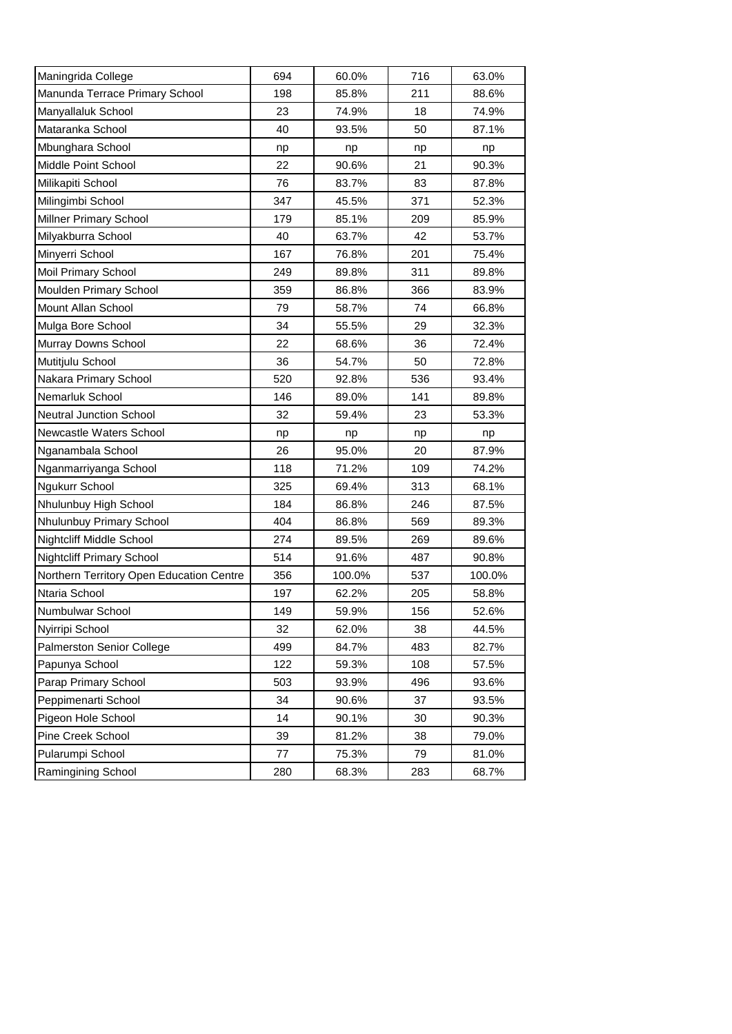| Maningrida College                       | 694 | 60.0%  | 716 | 63.0%  |
|------------------------------------------|-----|--------|-----|--------|
| Manunda Terrace Primary School           | 198 | 85.8%  | 211 | 88.6%  |
| Manyallaluk School                       | 23  | 74.9%  | 18  | 74.9%  |
| Mataranka School                         | 40  | 93.5%  | 50  | 87.1%  |
| Mbunghara School                         | np  | np     | np  | np     |
| Middle Point School                      | 22  | 90.6%  | 21  | 90.3%  |
| Milikapiti School                        | 76  | 83.7%  | 83  | 87.8%  |
| Milingimbi School                        | 347 | 45.5%  | 371 | 52.3%  |
| <b>Millner Primary School</b>            | 179 | 85.1%  | 209 | 85.9%  |
| Milyakburra School                       | 40  | 63.7%  | 42  | 53.7%  |
| Minyerri School                          | 167 | 76.8%  | 201 | 75.4%  |
| Moil Primary School                      | 249 | 89.8%  | 311 | 89.8%  |
| Moulden Primary School                   | 359 | 86.8%  | 366 | 83.9%  |
| Mount Allan School                       | 79  | 58.7%  | 74  | 66.8%  |
| Mulga Bore School                        | 34  | 55.5%  | 29  | 32.3%  |
| Murray Downs School                      | 22  | 68.6%  | 36  | 72.4%  |
| Mutitjulu School                         | 36  | 54.7%  | 50  | 72.8%  |
| Nakara Primary School                    | 520 | 92.8%  | 536 | 93.4%  |
| Nemarluk School                          | 146 | 89.0%  | 141 | 89.8%  |
| <b>Neutral Junction School</b>           | 32  | 59.4%  | 23  | 53.3%  |
| Newcastle Waters School                  | np  | np     | np  | np     |
| Nganambala School                        | 26  | 95.0%  | 20  | 87.9%  |
| Nganmarriyanga School                    | 118 | 71.2%  | 109 | 74.2%  |
| Ngukurr School                           | 325 | 69.4%  | 313 | 68.1%  |
| Nhulunbuy High School                    |     |        |     |        |
|                                          | 184 | 86.8%  | 246 | 87.5%  |
| Nhulunbuy Primary School                 | 404 | 86.8%  | 569 | 89.3%  |
| Nightcliff Middle School                 | 274 | 89.5%  | 269 | 89.6%  |
| <b>Nightcliff Primary School</b>         | 514 | 91.6%  | 487 | 90.8%  |
| Northern Territory Open Education Centre | 356 | 100.0% | 537 | 100.0% |
| Ntaria School                            | 197 | 62.2%  | 205 | 58.8%  |
| Numbulwar School                         | 149 | 59.9%  | 156 | 52.6%  |
| Nyirripi School                          | 32  | 62.0%  | 38  | 44.5%  |
| <b>Palmerston Senior College</b>         | 499 | 84.7%  | 483 | 82.7%  |
| Papunya School                           | 122 | 59.3%  | 108 | 57.5%  |
| Parap Primary School                     | 503 | 93.9%  | 496 | 93.6%  |
| Peppimenarti School                      | 34  | 90.6%  | 37  | 93.5%  |
| Pigeon Hole School                       | 14  | 90.1%  | 30  | 90.3%  |
| Pine Creek School                        | 39  | 81.2%  | 38  | 79.0%  |
| Pularumpi School                         | 77  | 75.3%  | 79  | 81.0%  |